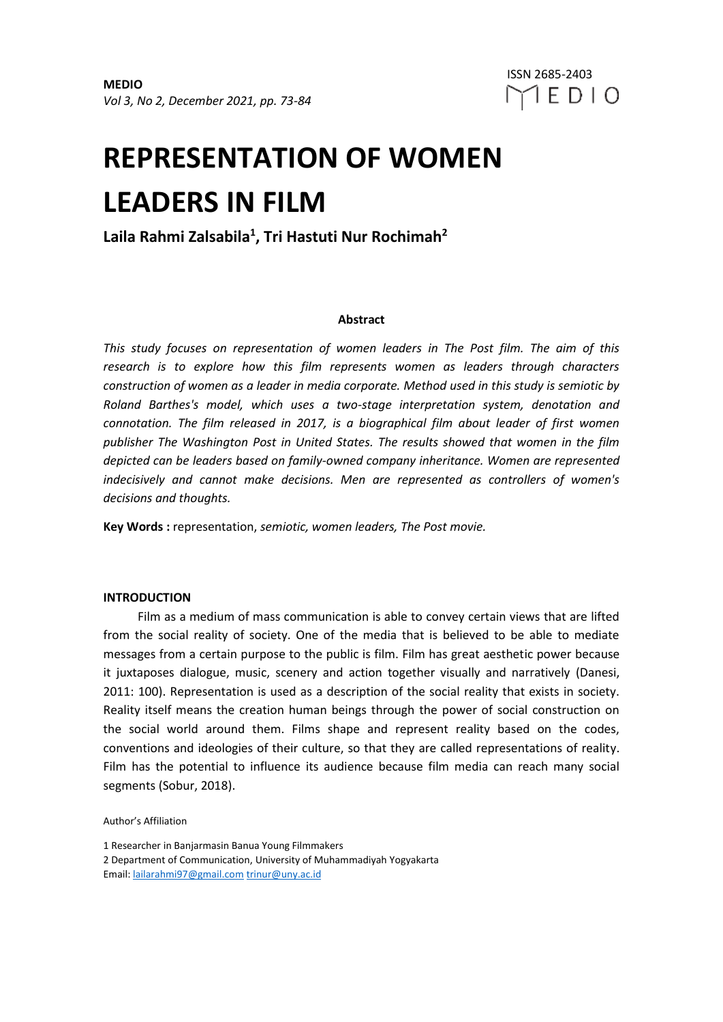# **REPRESENTATION OF WOMEN LEADERS IN FILM**

**Laila Rahmi Zalsabila<sup>1</sup> , Tri Hastuti Nur Rochimah<sup>2</sup>**

# **Abstract**

*This study focuses on representation of women leaders in The Post film. The aim of this research is to explore how this film represents women as leaders through characters construction of women as a leader in media corporate. Method used in this study is semiotic by Roland Barthes's model, which uses a two-stage interpretation system, denotation and connotation. The film released in 2017, is a biographical film about leader of first women publisher The Washington Post in United States. The results showed that women in the film depicted can be leaders based on family-owned company inheritance. Women are represented indecisively and cannot make decisions. Men are represented as controllers of women's decisions and thoughts.*

**Key Words :** representation, *semiotic, women leaders, The Post movie.*

## **INTRODUCTION**

Film as a medium of mass communication is able to convey certain views that are lifted from the social reality of society. One of the media that is believed to be able to mediate messages from a certain purpose to the public is film. Film has great aesthetic power because it juxtaposes dialogue, music, scenery and action together visually and narratively (Danesi, 2011: 100). Representation is used as a description of the social reality that exists in society. Reality itself means the creation human beings through the power of social construction on the social world around them. Films shape and represent reality based on the codes, conventions and ideologies of their culture, so that they are called representations of reality. Film has the potential to influence its audience because film media can reach many social segments (Sobur, 2018).

Author's Affiliation

1 Researcher in Banjarmasin Banua Young Filmmakers

2 Department of Communication, University of Muhammadiyah Yogyakarta Email: [lailarahmi97@gmail.com](mailto:lailarahmi97@gmail.com) [trinur@uny.ac.id](mailto:trinur@uny.ac.id)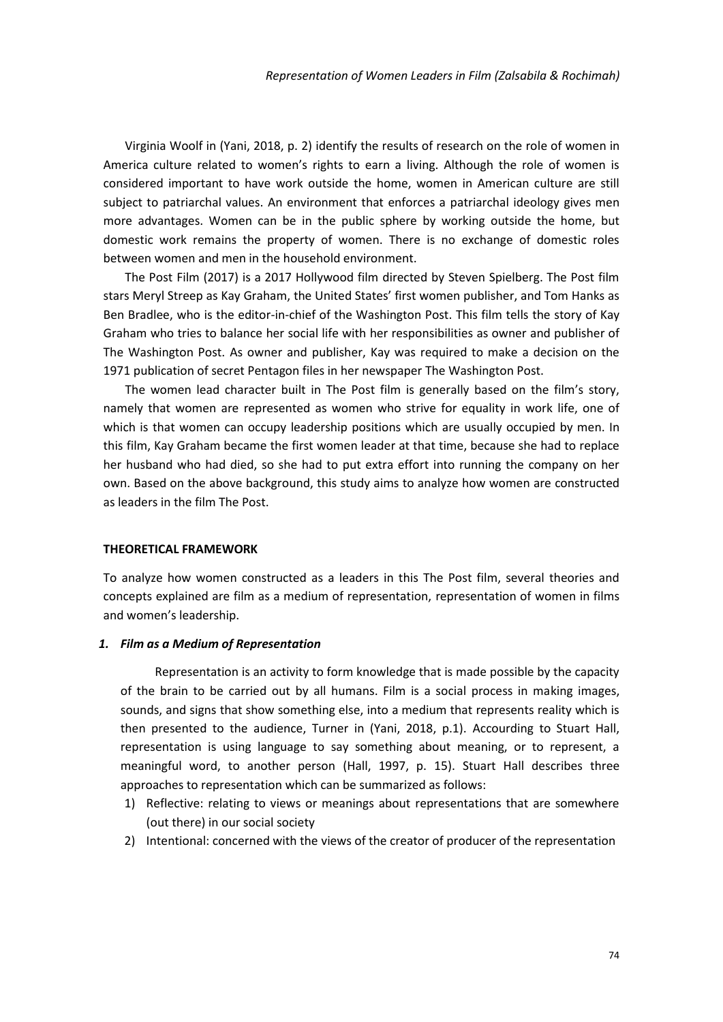Virginia Woolf in (Yani, 2018, p. 2) identify the results of research on the role of women in America culture related to women's rights to earn a living. Although the role of women is considered important to have work outside the home, women in American culture are still subject to patriarchal values. An environment that enforces a patriarchal ideology gives men more advantages. Women can be in the public sphere by working outside the home, but domestic work remains the property of women. There is no exchange of domestic roles between women and men in the household environment.

The Post Film (2017) is a 2017 Hollywood film directed by Steven Spielberg. The Post film stars Meryl Streep as Kay Graham, the United States' first women publisher, and Tom Hanks as Ben Bradlee, who is the editor-in-chief of the Washington Post. This film tells the story of Kay Graham who tries to balance her social life with her responsibilities as owner and publisher of The Washington Post. As owner and publisher, Kay was required to make a decision on the 1971 publication of secret Pentagon files in her newspaper The Washington Post.

The women lead character built in The Post film is generally based on the film's story, namely that women are represented as women who strive for equality in work life, one of which is that women can occupy leadership positions which are usually occupied by men. In this film, Kay Graham became the first women leader at that time, because she had to replace her husband who had died, so she had to put extra effort into running the company on her own. Based on the above background, this study aims to analyze how women are constructed as leaders in the film The Post.

#### **THEORETICAL FRAMEWORK**

To analyze how women constructed as a leaders in this The Post film, several theories and concepts explained are film as a medium of representation, representation of women in films and women's leadership.

# *1. Film as a Medium of Representation*

Representation is an activity to form knowledge that is made possible by the capacity of the brain to be carried out by all humans. Film is a social process in making images, sounds, and signs that show something else, into a medium that represents reality which is then presented to the audience, Turner in (Yani, 2018, p.1). Accourding to Stuart Hall, representation is using language to say something about meaning, or to represent, a meaningful word, to another person (Hall, 1997, p. 15). Stuart Hall describes three approaches to representation which can be summarized as follows:

- 1) Reflective: relating to views or meanings about representations that are somewhere (out there) in our social society
- 2) Intentional: concerned with the views of the creator of producer of the representation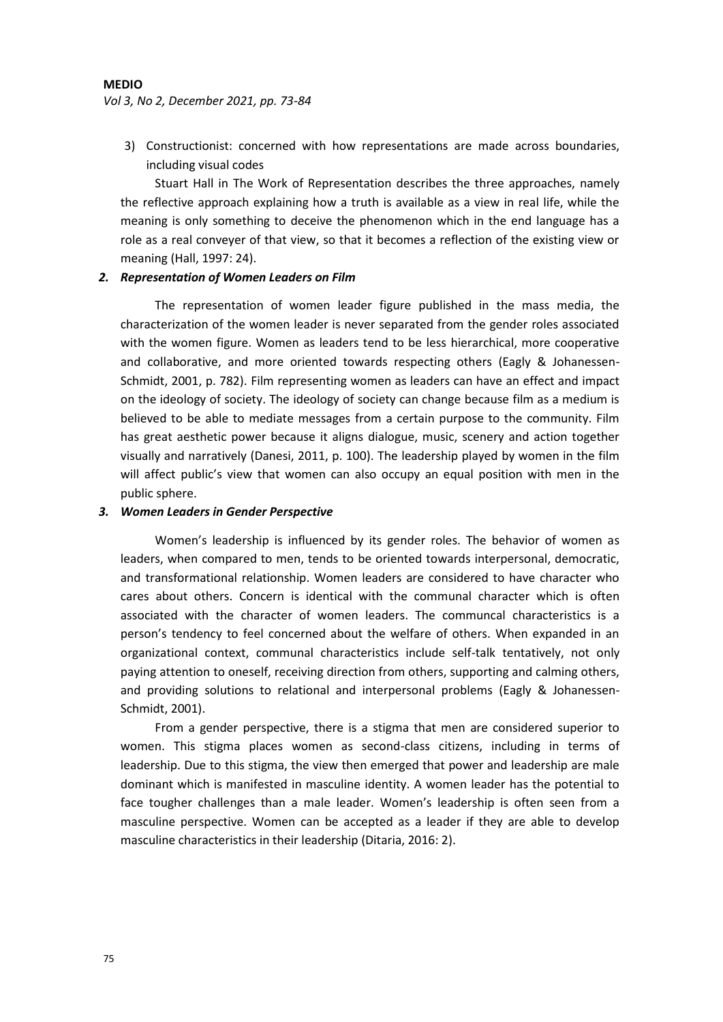# **MEDIO**

### *Vol 3, No 2, December 2021, pp. 73-84*

3) Constructionist: concerned with how representations are made across boundaries, including visual codes

Stuart Hall in The Work of Representation describes the three approaches, namely the reflective approach explaining how a truth is available as a view in real life, while the meaning is only something to deceive the phenomenon which in the end language has a role as a real conveyer of that view, so that it becomes a reflection of the existing view or meaning (Hall, 1997: 24).

# *2. Representation of Women Leaders on Film*

The representation of women leader figure published in the mass media, the characterization of the women leader is never separated from the gender roles associated with the women figure. Women as leaders tend to be less hierarchical, more cooperative and collaborative, and more oriented towards respecting others (Eagly & Johanessen-Schmidt, 2001, p. 782). Film representing women as leaders can have an effect and impact on the ideology of society. The ideology of society can change because film as a medium is believed to be able to mediate messages from a certain purpose to the community. Film has great aesthetic power because it aligns dialogue, music, scenery and action together visually and narratively (Danesi, 2011, p. 100). The leadership played by women in the film will affect public's view that women can also occupy an equal position with men in the public sphere.

# *3. Women Leaders in Gender Perspective*

Women's leadership is influenced by its gender roles. The behavior of women as leaders, when compared to men, tends to be oriented towards interpersonal, democratic, and transformational relationship. Women leaders are considered to have character who cares about others. Concern is identical with the communal character which is often associated with the character of women leaders. The communcal characteristics is a person's tendency to feel concerned about the welfare of others. When expanded in an organizational context, communal characteristics include self-talk tentatively, not only paying attention to oneself, receiving direction from others, supporting and calming others, and providing solutions to relational and interpersonal problems (Eagly & Johanessen-Schmidt, 2001).

From a gender perspective, there is a stigma that men are considered superior to women. This stigma places women as second-class citizens, including in terms of leadership. Due to this stigma, the view then emerged that power and leadership are male dominant which is manifested in masculine identity. A women leader has the potential to face tougher challenges than a male leader. Women's leadership is often seen from a masculine perspective. Women can be accepted as a leader if they are able to develop masculine characteristics in their leadership (Ditaria, 2016: 2).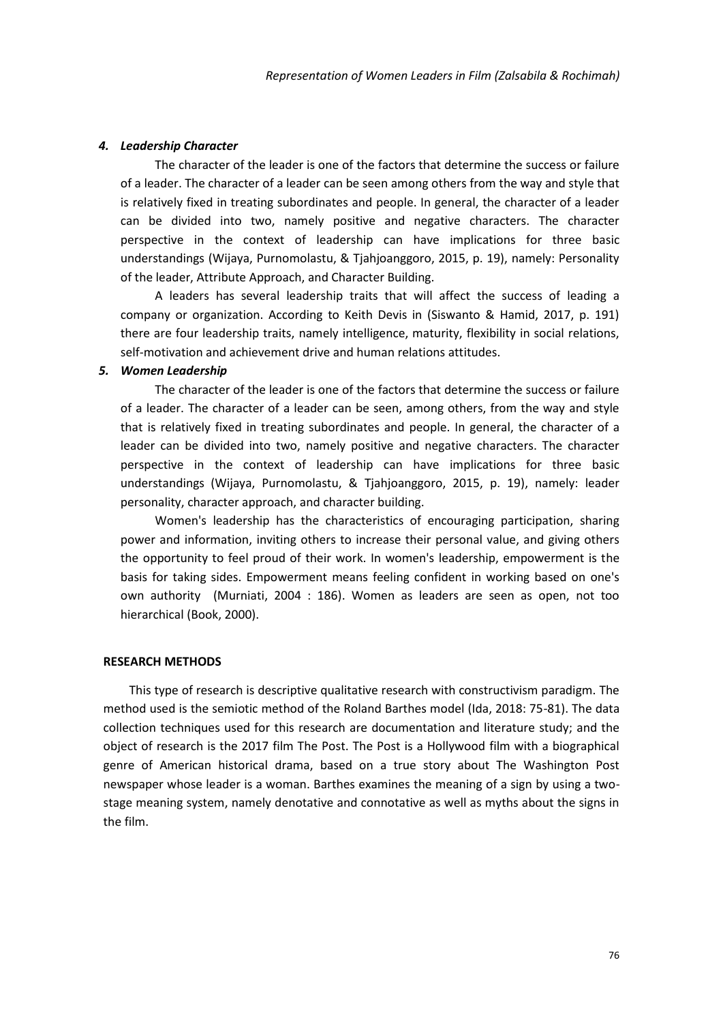### *4. Leadership Character*

The character of the leader is one of the factors that determine the success or failure of a leader. The character of a leader can be seen among others from the way and style that is relatively fixed in treating subordinates and people. In general, the character of a leader can be divided into two, namely positive and negative characters. The character perspective in the context of leadership can have implications for three basic understandings (Wijaya, Purnomolastu, & Tjahjoanggoro, 2015, p. 19), namely: Personality of the leader, Attribute Approach, and Character Building.

A leaders has several leadership traits that will affect the success of leading a company or organization. According to Keith Devis in (Siswanto & Hamid, 2017, p. 191) there are four leadership traits, namely intelligence, maturity, flexibility in social relations, self-motivation and achievement drive and human relations attitudes.

# *5. Women Leadership*

The character of the leader is one of the factors that determine the success or failure of a leader. The character of a leader can be seen, among others, from the way and style that is relatively fixed in treating subordinates and people. In general, the character of a leader can be divided into two, namely positive and negative characters. The character perspective in the context of leadership can have implications for three basic understandings (Wijaya, Purnomolastu, & Tjahjoanggoro, 2015, p. 19), namely: leader personality, character approach, and character building.

Women's leadership has the characteristics of encouraging participation, sharing power and information, inviting others to increase their personal value, and giving others the opportunity to feel proud of their work. In women's leadership, empowerment is the basis for taking sides. Empowerment means feeling confident in working based on one's own authority (Murniati, 2004 : 186). Women as leaders are seen as open, not too hierarchical (Book, 2000).

#### **RESEARCH METHODS**

This type of research is descriptive qualitative research with constructivism paradigm. The method used is the semiotic method of the Roland Barthes model (Ida, 2018: 75-81). The data collection techniques used for this research are documentation and literature study; and the object of research is the 2017 film The Post. The Post is a Hollywood film with a biographical genre of American historical drama, based on a true story about The Washington Post newspaper whose leader is a woman. Barthes examines the meaning of a sign by using a twostage meaning system, namely denotative and connotative as well as myths about the signs in the film.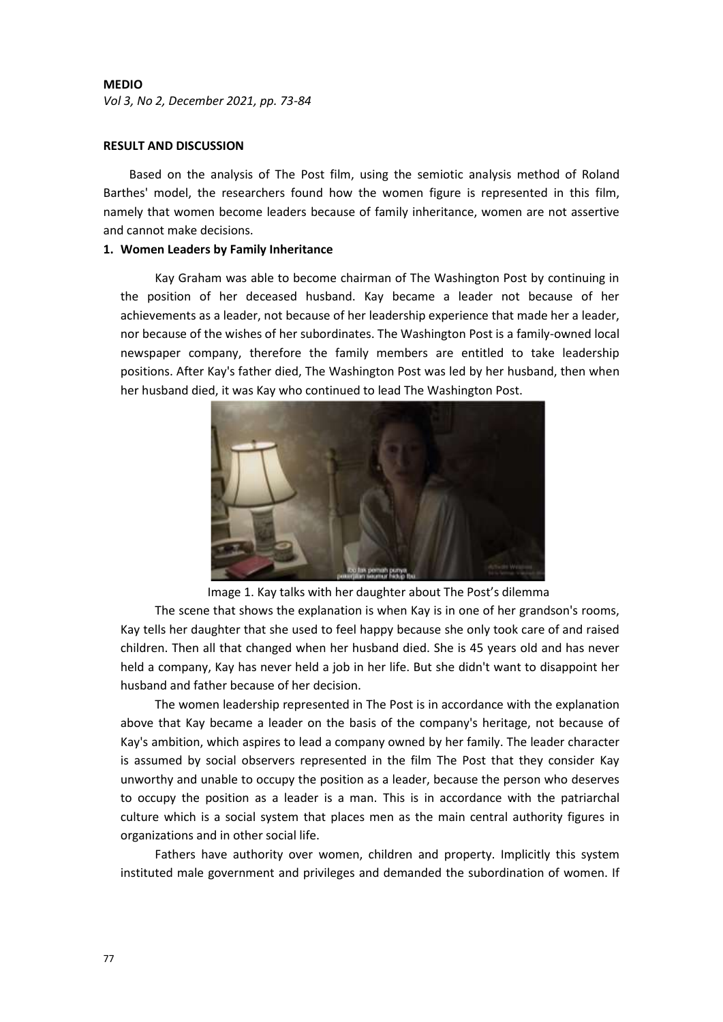# **MEDIO**

*Vol 3, No 2, December 2021, pp. 73-84*

# **RESULT AND DISCUSSION**

Based on the analysis of The Post film, using the semiotic analysis method of Roland Barthes' model, the researchers found how the women figure is represented in this film, namely that women become leaders because of family inheritance, women are not assertive and cannot make decisions.

# **1. Women Leaders by Family Inheritance**

Kay Graham was able to become chairman of The Washington Post by continuing in the position of her deceased husband. Kay became a leader not because of her achievements as a leader, not because of her leadership experience that made her a leader, nor because of the wishes of her subordinates. The Washington Post is a family-owned local newspaper company, therefore the family members are entitled to take leadership positions. After Kay's father died, The Washington Post was led by her husband, then when her husband died, it was Kay who continued to lead The Washington Post.



Image 1. Kay talks with her daughter about The Post's dilemma

The scene that shows the explanation is when Kay is in one of her grandson's rooms, Kay tells her daughter that she used to feel happy because she only took care of and raised children. Then all that changed when her husband died. She is 45 years old and has never held a company, Kay has never held a job in her life. But she didn't want to disappoint her husband and father because of her decision.

The women leadership represented in The Post is in accordance with the explanation above that Kay became a leader on the basis of the company's heritage, not because of Kay's ambition, which aspires to lead a company owned by her family. The leader character is assumed by social observers represented in the film The Post that they consider Kay unworthy and unable to occupy the position as a leader, because the person who deserves to occupy the position as a leader is a man. This is in accordance with the patriarchal culture which is a social system that places men as the main central authority figures in organizations and in other social life.

Fathers have authority over women, children and property. Implicitly this system instituted male government and privileges and demanded the subordination of women. If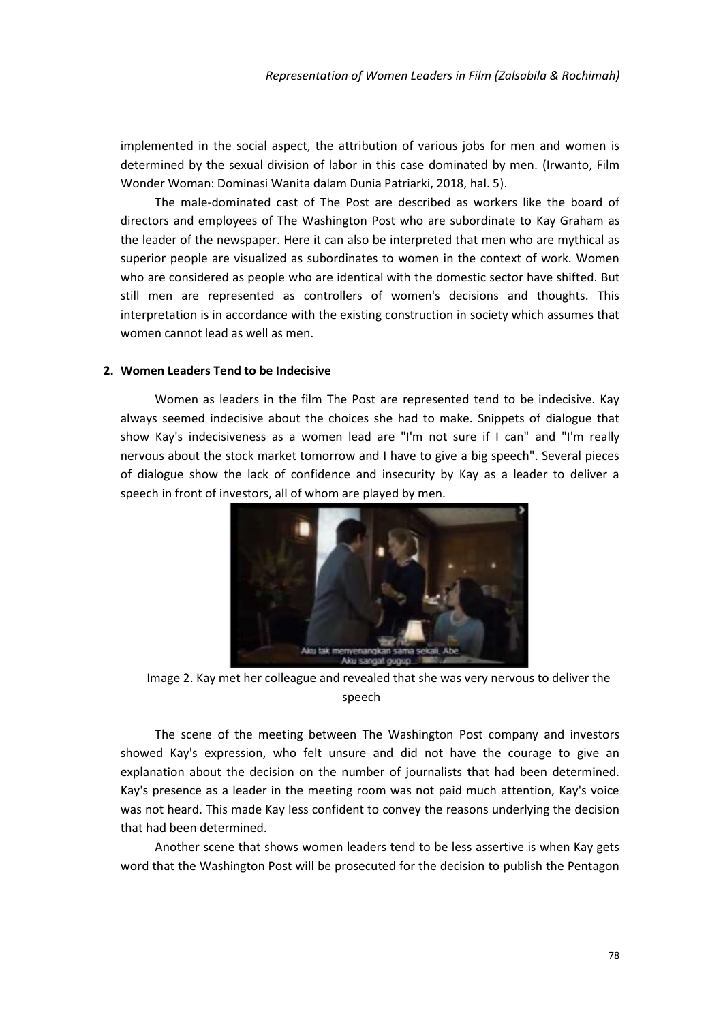implemented in the social aspect, the attribution of various jobs for men and women is determined by the sexual division of labor in this case dominated by men. (Irwanto, Film Wonder Woman: Dominasi Wanita dalam Dunia Patriarki, 2018, hal. 5).

The male-dominated cast of The Post are described as workers like the board of directors and employees of The Washington Post who are subordinate to Kay Graham as the leader of the newspaper. Here it can also be interpreted that men who are mythical as superior people are visualized as subordinates to women in the context of work. Women who are considered as people who are identical with the domestic sector have shifted. But still men are represented as controllers of women's decisions and thoughts. This interpretation is in accordance with the existing construction in society which assumes that women cannot lead as well as men.

# **2. Women Leaders Tend to be Indecisive**

Women as leaders in the film The Post are represented tend to be indecisive. Kay always seemed indecisive about the choices she had to make. Snippets of dialogue that show Kay's indecisiveness as a women lead are "I'm not sure if I can" and "I'm really nervous about the stock market tomorrow and I have to give a big speech". Several pieces of dialogue show the lack of confidence and insecurity by Kay as a leader to deliver a speech in front of investors, all of whom are played by men.



Image 2. Kay met her colleague and revealed that she was very nervous to deliver the speech

The scene of the meeting between The Washington Post company and investors showed Kay's expression, who felt unsure and did not have the courage to give an explanation about the decision on the number of journalists that had been determined. Kay's presence as a leader in the meeting room was not paid much attention, Kay's voice was not heard. This made Kay less confident to convey the reasons underlying the decision that had been determined.

Another scene that shows women leaders tend to be less assertive is when Kay gets word that the Washington Post will be prosecuted for the decision to publish the Pentagon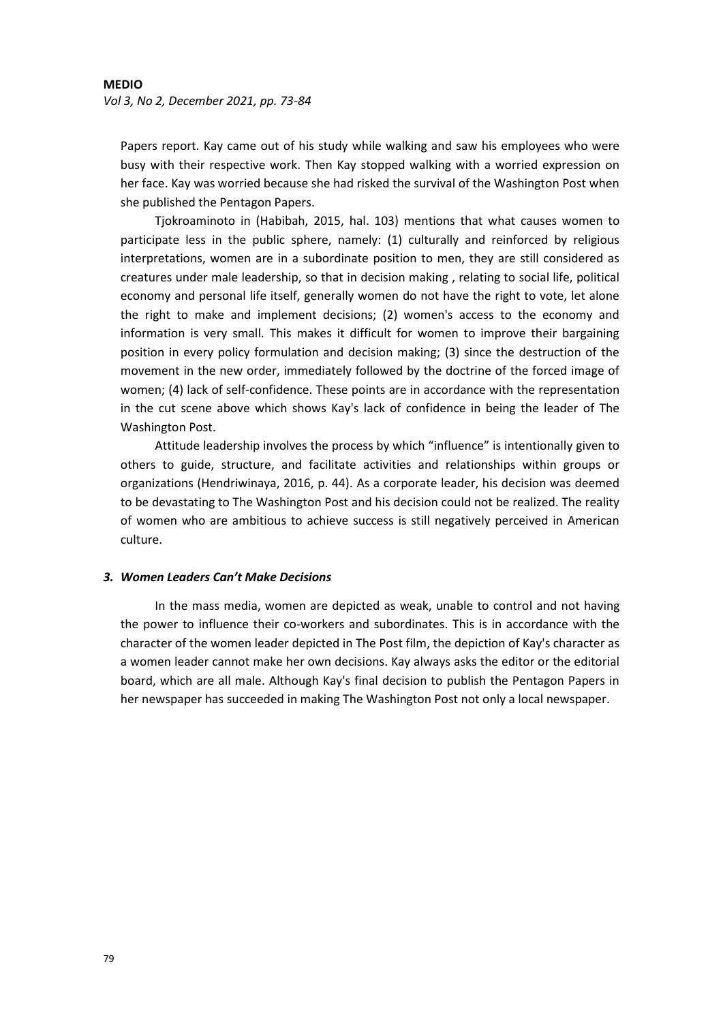Papers report. Kay came out of his study while walking and saw his employees who were busy with their respective work. Then Kay stopped walking with a worried expression on her face. Kay was worried because she had risked the survival of the Washington Post when she published the Pentagon Papers.

Tjokroaminoto in (Habibah, 2015, hal. 103) mentions that what causes women to participate less in the public sphere, namely: (1) culturally and reinforced by religious interpretations, women are in a subordinate position to men, they are still considered as creatures under male leadership, so that in decision making , relating to social life, political economy and personal life itself, generally women do not have the right to vote, let alone the right to make and implement decisions; (2) women's access to the economy and information is very small. This makes it difficult for women to improve their bargaining position in every policy formulation and decision making; (3) since the destruction of the movement in the new order, immediately followed by the doctrine of the forced image of women; (4) lack of self-confidence. These points are in accordance with the representation in the cut scene above which shows Kay's lack of confidence in being the leader of The Washington Post.

Attitude leadership involves the process by which "influence" is intentionally given to others to guide, structure, and facilitate activities and relationships within groups or organizations (Hendriwinaya, 2016, p. 44). As a corporate leader, his decision was deemed to be devastating to The Washington Post and his decision could not be realized. The reality of women who are ambitious to achieve success is still negatively perceived in American culture.

# *3. Women Leaders Can't Make Decisions*

In the mass media, women are depicted as weak, unable to control and not having the power to influence their co-workers and subordinates. This is in accordance with the character of the women leader depicted in The Post film, the depiction of Kay's character as a women leader cannot make her own decisions. Kay always asks the editor or the editorial board, which are all male. Although Kay's final decision to publish the Pentagon Papers in her newspaper has succeeded in making The Washington Post not only a local newspaper.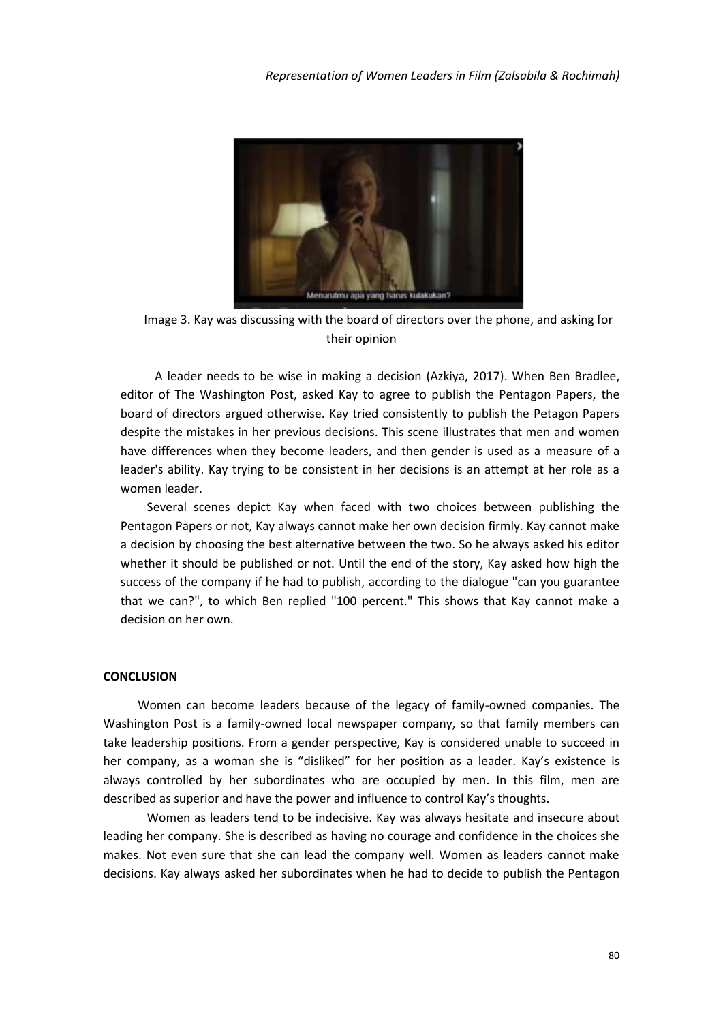

Image 3. Kay was discussing with the board of directors over the phone, and asking for their opinion

A leader needs to be wise in making a decision (Azkiya, 2017). When Ben Bradlee, editor of The Washington Post, asked Kay to agree to publish the Pentagon Papers, the board of directors argued otherwise. Kay tried consistently to publish the Petagon Papers despite the mistakes in her previous decisions. This scene illustrates that men and women have differences when they become leaders, and then gender is used as a measure of a leader's ability. Kay trying to be consistent in her decisions is an attempt at her role as a women leader.

Several scenes depict Kay when faced with two choices between publishing the Pentagon Papers or not, Kay always cannot make her own decision firmly. Kay cannot make a decision by choosing the best alternative between the two. So he always asked his editor whether it should be published or not. Until the end of the story, Kay asked how high the success of the company if he had to publish, according to the dialogue "can you guarantee that we can?", to which Ben replied "100 percent." This shows that Kay cannot make a decision on her own.

# **CONCLUSION**

Women can become leaders because of the legacy of family-owned companies. The Washington Post is a family-owned local newspaper company, so that family members can take leadership positions. From a gender perspective, Kay is considered unable to succeed in her company, as a woman she is "disliked" for her position as a leader. Kay's existence is always controlled by her subordinates who are occupied by men. In this film, men are described as superior and have the power and influence to control Kay's thoughts.

Women as leaders tend to be indecisive. Kay was always hesitate and insecure about leading her company. She is described as having no courage and confidence in the choices she makes. Not even sure that she can lead the company well. Women as leaders cannot make decisions. Kay always asked her subordinates when he had to decide to publish the Pentagon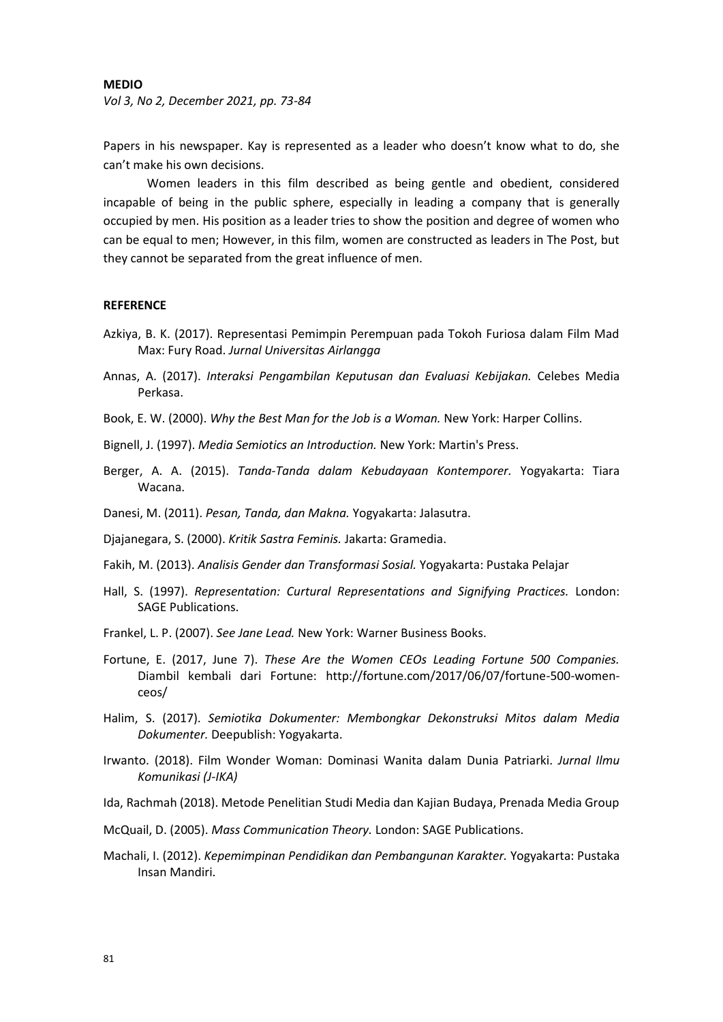### **MEDIO**

*Vol 3, No 2, December 2021, pp. 73-84*

Papers in his newspaper. Kay is represented as a leader who doesn't know what to do, she can't make his own decisions.

Women leaders in this film described as being gentle and obedient, considered incapable of being in the public sphere, especially in leading a company that is generally occupied by men. His position as a leader tries to show the position and degree of women who can be equal to men; However, in this film, women are constructed as leaders in The Post, but they cannot be separated from the great influence of men.

#### **REFERENCE**

- Azkiya, B. K. (2017). Representasi Pemimpin Perempuan pada Tokoh Furiosa dalam Film Mad Max: Fury Road. *Jurnal Universitas Airlangga*
- Annas, A. (2017). *Interaksi Pengambilan Keputusan dan Evaluasi Kebijakan.* Celebes Media Perkasa.
- Book, E. W. (2000). *Why the Best Man for the Job is a Woman.* New York: Harper Collins.
- Bignell, J. (1997). *Media Semiotics an Introduction.* New York: Martin's Press.
- Berger, A. A. (2015). *Tanda-Tanda dalam Kebudayaan Kontemporer.* Yogyakarta: Tiara Wacana.
- Danesi, M. (2011). *Pesan, Tanda, dan Makna.* Yogyakarta: Jalasutra.
- Djajanegara, S. (2000). *Kritik Sastra Feminis.* Jakarta: Gramedia.
- Fakih, M. (2013). *Analisis Gender dan Transformasi Sosial.* Yogyakarta: Pustaka Pelajar
- Hall, S. (1997). *Representation: Curtural Representations and Signifying Practices.* London: SAGE Publications.
- Frankel, L. P. (2007). *See Jane Lead.* New York: Warner Business Books.
- Fortune, E. (2017, June 7). *These Are the Women CEOs Leading Fortune 500 Companies.* Diambil kembali dari Fortune: http://fortune.com/2017/06/07/fortune-500-womenceos/
- Halim, S. (2017). *Semiotika Dokumenter: Membongkar Dekonstruksi Mitos dalam Media Dokumenter.* Deepublish: Yogyakarta.
- Irwanto. (2018). Film Wonder Woman: Dominasi Wanita dalam Dunia Patriarki. *Jurnal Ilmu Komunikasi (J-IKA)*
- Ida, Rachmah (2018). Metode Penelitian Studi Media dan Kajian Budaya, Prenada Media Group
- McQuail, D. (2005). *Mass Communication Theory.* London: SAGE Publications.
- Machali, I. (2012). *Kepemimpinan Pendidikan dan Pembangunan Karakter.* Yogyakarta: Pustaka Insan Mandiri.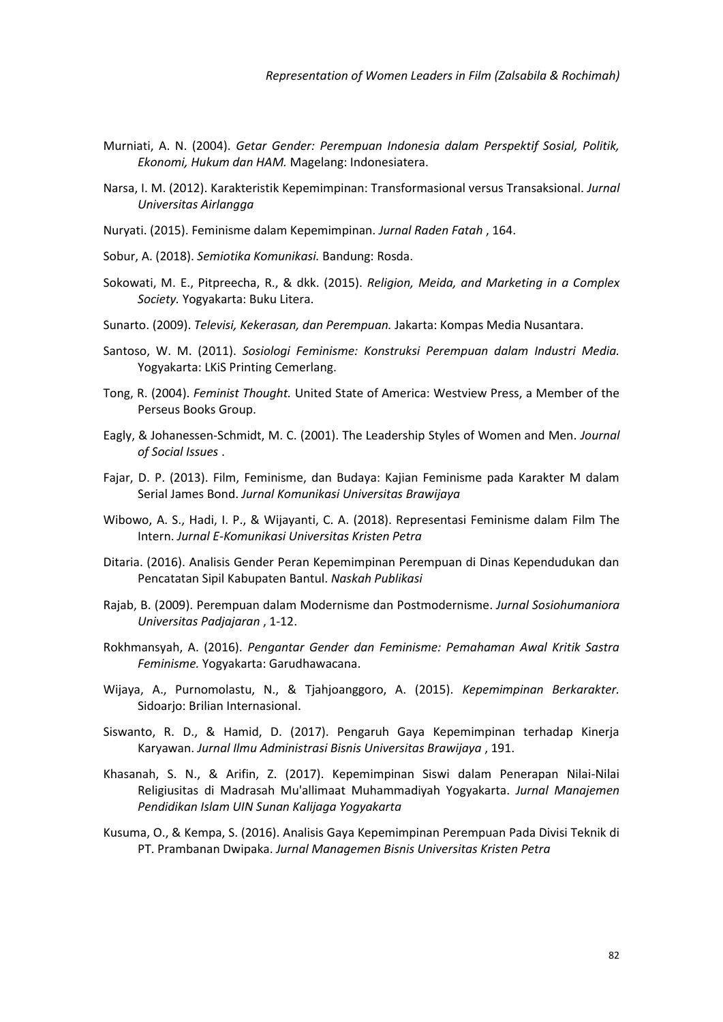- Murniati, A. N. (2004). *Getar Gender: Perempuan Indonesia dalam Perspektif Sosial, Politik, Ekonomi, Hukum dan HAM.* Magelang: Indonesiatera.
- Narsa, I. M. (2012). Karakteristik Kepemimpinan: Transformasional versus Transaksional. *Jurnal Universitas Airlangga*
- Nuryati. (2015). Feminisme dalam Kepemimpinan. *Jurnal Raden Fatah* , 164.
- Sobur, A. (2018). *Semiotika Komunikasi.* Bandung: Rosda.
- Sokowati, M. E., Pitpreecha, R., & dkk. (2015). *Religion, Meida, and Marketing in a Complex Society.* Yogyakarta: Buku Litera.
- Sunarto. (2009). *Televisi, Kekerasan, dan Perempuan.* Jakarta: Kompas Media Nusantara.
- Santoso, W. M. (2011). *Sosiologi Feminisme: Konstruksi Perempuan dalam Industri Media.* Yogyakarta: LKiS Printing Cemerlang.
- Tong, R. (2004). *Feminist Thought.* United State of America: Westview Press, a Member of the Perseus Books Group.
- Eagly, & Johanessen-Schmidt, M. C. (2001). The Leadership Styles of Women and Men. *Journal of Social Issues* .
- Fajar, D. P. (2013). Film, Feminisme, dan Budaya: Kajian Feminisme pada Karakter M dalam Serial James Bond. *Jurnal Komunikasi Universitas Brawijaya*
- Wibowo, A. S., Hadi, I. P., & Wijayanti, C. A. (2018). Representasi Feminisme dalam Film The Intern. *Jurnal E-Komunikasi Universitas Kristen Petra*
- Ditaria. (2016). Analisis Gender Peran Kepemimpinan Perempuan di Dinas Kependudukan dan Pencatatan Sipil Kabupaten Bantul. *Naskah Publikasi*
- Rajab, B. (2009). Perempuan dalam Modernisme dan Postmodernisme. *Jurnal Sosiohumaniora Universitas Padjajaran* , 1-12.
- Rokhmansyah, A. (2016). *Pengantar Gender dan Feminisme: Pemahaman Awal Kritik Sastra Feminisme.* Yogyakarta: Garudhawacana.
- Wijaya, A., Purnomolastu, N., & Tjahjoanggoro, A. (2015). *Kepemimpinan Berkarakter.* Sidoarjo: Brilian Internasional.
- Siswanto, R. D., & Hamid, D. (2017). Pengaruh Gaya Kepemimpinan terhadap Kinerja Karyawan. *Jurnal Ilmu Administrasi Bisnis Universitas Brawijaya* , 191.
- Khasanah, S. N., & Arifin, Z. (2017). Kepemimpinan Siswi dalam Penerapan Nilai-Nilai Religiusitas di Madrasah Mu'allimaat Muhammadiyah Yogyakarta. *Jurnal Manajemen Pendidikan Islam UIN Sunan Kalijaga Yogyakarta*
- Kusuma, O., & Kempa, S. (2016). Analisis Gaya Kepemimpinan Perempuan Pada Divisi Teknik di PT. Prambanan Dwipaka. *Jurnal Managemen Bisnis Universitas Kristen Petra*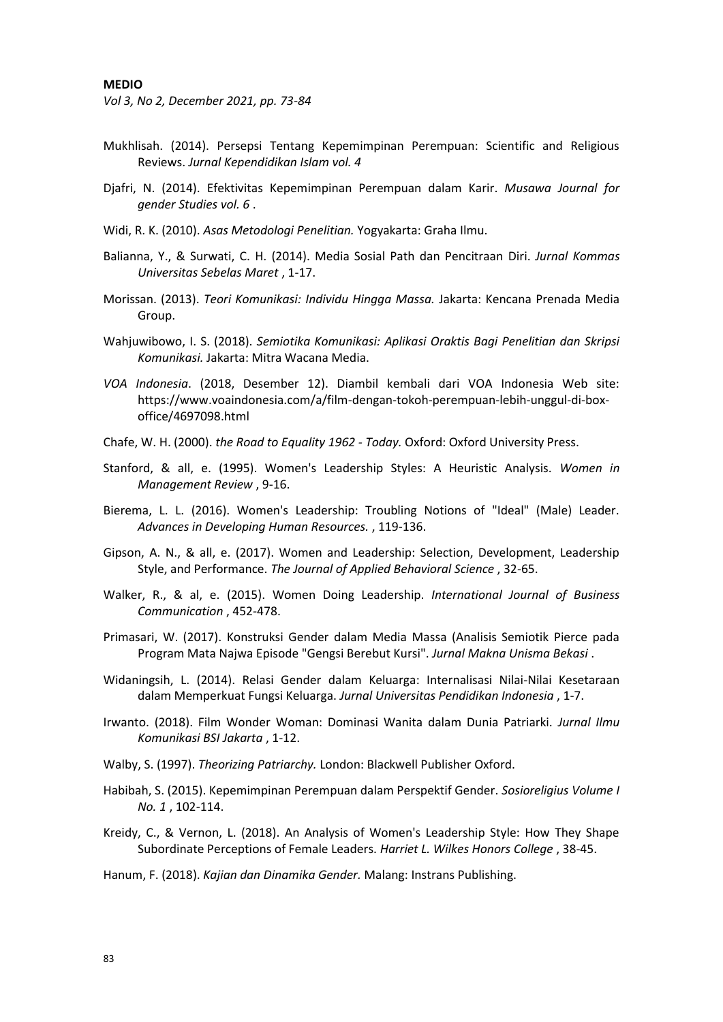*Vol 3, No 2, December 2021, pp. 73-84*

- Mukhlisah. (2014). Persepsi Tentang Kepemimpinan Perempuan: Scientific and Religious Reviews. *Jurnal Kependidikan Islam vol. 4*
- Djafri, N. (2014). Efektivitas Kepemimpinan Perempuan dalam Karir. *Musawa Journal for gender Studies vol. 6* .
- Widi, R. K. (2010). *Asas Metodologi Penelitian.* Yogyakarta: Graha Ilmu.
- Balianna, Y., & Surwati, C. H. (2014). Media Sosial Path dan Pencitraan Diri. *Jurnal Kommas Universitas Sebelas Maret* , 1-17.
- Morissan. (2013). *Teori Komunikasi: Individu Hingga Massa.* Jakarta: Kencana Prenada Media Group.
- Wahjuwibowo, I. S. (2018). *Semiotika Komunikasi: Aplikasi Oraktis Bagi Penelitian dan Skripsi Komunikasi.* Jakarta: Mitra Wacana Media.
- *VOA Indonesia*. (2018, Desember 12). Diambil kembali dari VOA Indonesia Web site: https://www.voaindonesia.com/a/film-dengan-tokoh-perempuan-lebih-unggul-di-boxoffice/4697098.html
- Chafe, W. H. (2000). *the Road to Equality 1962 - Today.* Oxford: Oxford University Press.
- Stanford, & all, e. (1995). Women's Leadership Styles: A Heuristic Analysis. *Women in Management Review* , 9-16.
- Bierema, L. L. (2016). Women's Leadership: Troubling Notions of "Ideal" (Male) Leader. *Advances in Developing Human Resources.* , 119-136.
- Gipson, A. N., & all, e. (2017). Women and Leadership: Selection, Development, Leadership Style, and Performance. *The Journal of Applied Behavioral Science* , 32-65.
- Walker, R., & al, e. (2015). Women Doing Leadership. *International Journal of Business Communication* , 452-478.
- Primasari, W. (2017). Konstruksi Gender dalam Media Massa (Analisis Semiotik Pierce pada Program Mata Najwa Episode "Gengsi Berebut Kursi". *Jurnal Makna Unisma Bekasi* .
- Widaningsih, L. (2014). Relasi Gender dalam Keluarga: Internalisasi Nilai-Nilai Kesetaraan dalam Memperkuat Fungsi Keluarga. *Jurnal Universitas Pendidikan Indonesia* , 1-7.
- Irwanto. (2018). Film Wonder Woman: Dominasi Wanita dalam Dunia Patriarki. *Jurnal Ilmu Komunikasi BSI Jakarta* , 1-12.
- Walby, S. (1997). *Theorizing Patriarchy.* London: Blackwell Publisher Oxford.
- Habibah, S. (2015). Kepemimpinan Perempuan dalam Perspektif Gender. *Sosioreligius Volume I No. 1* , 102-114.
- Kreidy, C., & Vernon, L. (2018). An Analysis of Women's Leadership Style: How They Shape Subordinate Perceptions of Female Leaders. *Harriet L. Wilkes Honors College* , 38-45.
- Hanum, F. (2018). *Kajian dan Dinamika Gender.* Malang: Instrans Publishing.